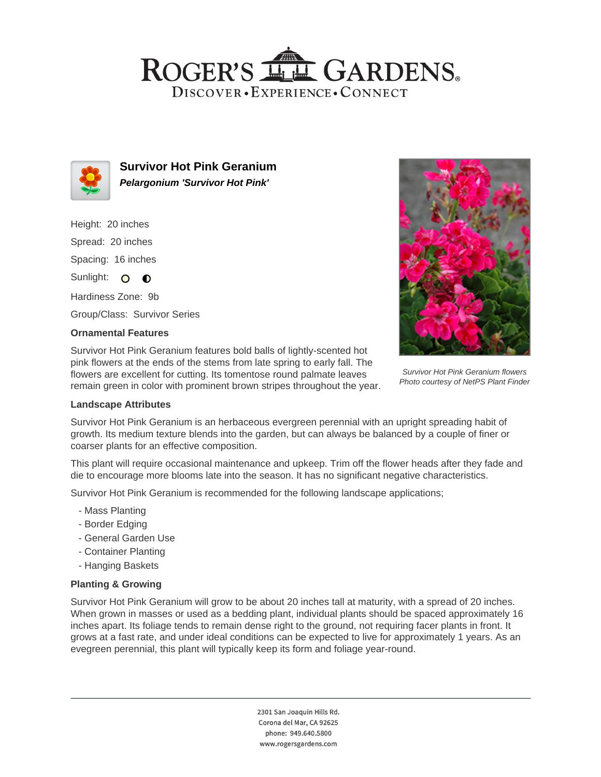## ROGER'S LL GARDENS. DISCOVER · EXPERIENCE · CONNECT



**Survivor Hot Pink Geranium Pelargonium 'Survivor Hot Pink'**

Height: 20 inches Spread: 20 inches Spacing: 16 inches Sunlight: O **O** 

Hardiness Zone: 9b

Group/Class: Survivor Series

### **Ornamental Features**

Survivor Hot Pink Geranium features bold balls of lightly-scented hot pink flowers at the ends of the stems from late spring to early fall. The flowers are excellent for cutting. Its tomentose round palmate leaves remain green in color with prominent brown stripes throughout the year.



Survivor Hot Pink Geranium flowers Photo courtesy of NetPS Plant Finder

#### **Landscape Attributes**

Survivor Hot Pink Geranium is an herbaceous evergreen perennial with an upright spreading habit of growth. Its medium texture blends into the garden, but can always be balanced by a couple of finer or coarser plants for an effective composition.

This plant will require occasional maintenance and upkeep. Trim off the flower heads after they fade and die to encourage more blooms late into the season. It has no significant negative characteristics.

Survivor Hot Pink Geranium is recommended for the following landscape applications;

- Mass Planting
- Border Edging
- General Garden Use
- Container Planting
- Hanging Baskets

#### **Planting & Growing**

Survivor Hot Pink Geranium will grow to be about 20 inches tall at maturity, with a spread of 20 inches. When grown in masses or used as a bedding plant, individual plants should be spaced approximately 16 inches apart. Its foliage tends to remain dense right to the ground, not requiring facer plants in front. It grows at a fast rate, and under ideal conditions can be expected to live for approximately 1 years. As an evegreen perennial, this plant will typically keep its form and foliage year-round.

> 2301 San Joaquin Hills Rd. Corona del Mar, CA 92625 phone: 949.640.5800 www.rogersgardens.com